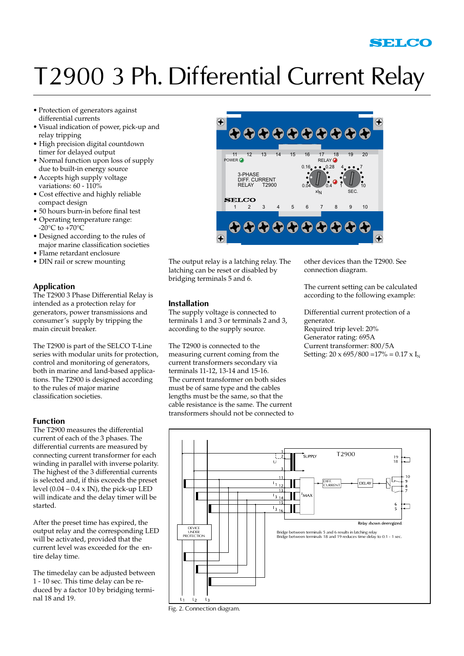# T2900 3 Ph. Differential Current Relay

- • Protection of generators against differential currents
- • Visual indication of power, pick-up and relay tripping
- High precision digital countdown timer for delayed output
- Normal function upon loss of supply due to built-in energy source
- Accepts high supply voltage variations: 60 - 110%
- Cost effective and highly reliable compact design
- 50 hours burn-in before final test
- Operating temperature range:  $-20^{\circ}$ C to  $+70^{\circ}$ C
- Designed according to the rules of major marine classification societies
- Flame retardant enclosure
- DIN rail or screw mounting

## **Application**

The T2900 3 Phase Differential Relay is intended as a protection relay for generators, power transmissions and consumer's supply by tripping the main circuit breaker.

The T2900 is part of the SELCO T-Line series with modular units for protection, control and monitoring of generators, both in marine and land-based applications. The T2900 is designed according to the rules of major marine classification societies.

### **Function**

The T2900 measures the differential current of each of the 3 phases. The differential currents are measured by connecting current transformer for each winding in parallel with inverse polarity. The highest of the 3 differential currents is selected and, if this exceeds the preset level  $(0.04 - 0.4 \times IN)$ , the pick-up LED will indicate and the delay timer will be started.

After the preset time has expired, the output relay and the corresponding LED will be activated, provided that the current level was exceeded for the entire delay time.

The timedelay can be adjusted between 1 - 10 sec. This time delay can be reduced by a factor 10 by bridging terminal 18 and 19.



The output relay is a latching relay. The latching can be reset or disabled by bridging terminals 5 and 6.

The supply voltage is connected to terminals 1 and 3 or terminals 2 and 3, according to the supply source.

The T2900 is connected to the measuring current coming from the current transformers secondary via terminals 11-12, 13-14 and 15-16. The current transformer on both sides must be of same type and the cables lengths must be the same, so that the cable resistance is the same. The current

**Installation**

other devices than the T2900. See connection diagram.

The current setting can be calculated according to the following example:

Differential current protection of a generator. Required trip level: 20% Generator rating: 695A Current transformer: 800/5A Setting:  $20 \times 695 / 800 = 17\% = 0.17 \times I_{N}$ 



Fig. 2. Connection diagram.